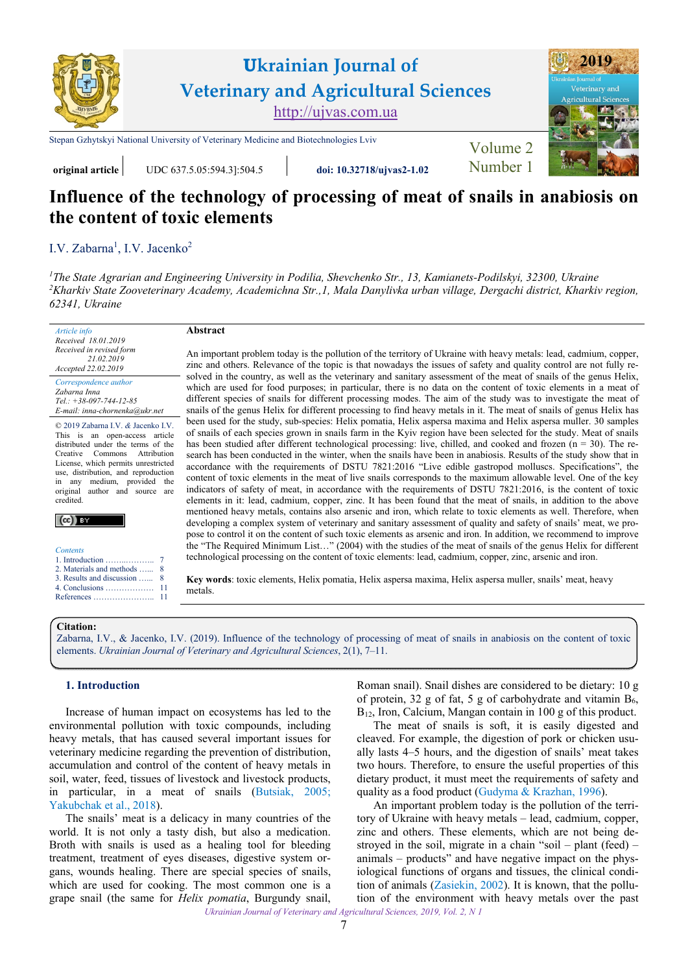

# **Influence of the technology of processing of meat of snails in anabiosis on the content of toxic elements**

I.V. Zabarna<sup>1</sup>, [I.V. Jacenko](https://orcid.org/0000-0001-8903-2129)<sup>2</sup>

*1 [The State Agrarian and Engineering University in Podilia, Shevchenko Str., 13, Kamianets-Podilskyi, 32300, Ukraine](http://pdatu.edu.ua) 2 [Kharkiv State Zooveterinary Academy, Academichna Str.,1, Mala Danylivka urban village, Dergachi district, Kharkiv region,](https://hdzva.edu.ua)  62341, Ukraine*

*Article info Received 18.01.2019 Received in revised form 21.02.2019 Accepted 22.02.2019* 

*Correspondence author [Zabarna Inna](https://orcid.org/0000-0001-9341-4533)  Tel.: +38-097-744-12-85 E-mail: inna-chornenka@ukr.net* 

© 2019 Zabarna I.V. *&* Jacenko I.V. This is an open-access article distributed under the terms of the Creative Commons Attribution License, which permits unrestricted use, distribution, and reproduction in any medium, provided the original author and source are credited.



*Contents* 

| 2. Materials and methods  8  |  |
|------------------------------|--|
| 3. Results and discussion  8 |  |
| .                            |  |

| References | 11 |
|------------|----|

An important problem today is the pollution of the territory of Ukraine with heavy metals: lead, cadmium, copper, zinc and others. Relevance of the topic is that nowadays the issues of safety and quality control are not fully resolved in the country, as well as the veterinary and sanitary assessment of the meat of snails of the genus Helix, which are used for food purposes; in particular, there is no data on the content of toxic elements in a meat of different species of snails for different processing modes. The aim of the study was to investigate the meat of snails of the genus Helix for different processing to find heavy metals in it. The meat of snails of genus Helix has been used for the study, sub-species: Helix pomatia, Helix aspersa maxima and Helix aspersa muller. 30 samples of snails of each species grown in snails farm in the Kyiv region have been selected for the study. Meat of snails has been studied after different technological processing: live, chilled, and cooked and frozen  $(n = 30)$ . The research has been conducted in the winter, when the snails have been in anabiosis. Results of the study show that in accordance with the requirements of DSTU 7821:2016 "Live edible gastropod molluscs. Specifications", the content of toxic elements in the meat of live snails corresponds to the maximum allowable level. One of the key indicators of safety of meat, in accordance with the requirements of DSTU 7821:2016, is the content of toxic elements in it: lead, cadmium, copper, zinc. It has been found that the meat of snails, in addition to the above mentioned heavy metals, contains also arsenic and iron, which relate to toxic elements as well. Therefore, when developing a complex system of veterinary and sanitary assessment of quality and safety of snails' meat, we propose to control it on the content of such toxic elements as arsenic and iron. In addition, we recommend to improve the "The Required Minimum List…" (2004) with the studies of the meat of snails of the genus Helix for different technological processing on the content of toxic elements: lead, cadmium, copper, zinc, arsenic and iron.

**Key words**: toxic elements, Helix pomatia, Helix aspersa maxima, Helix aspersa muller, snails' meat, heavy metals.

#### **Citation:**

[Zabarna, I.V., & Jacenko, I.V. \(2019\). Influence of the technology of processing of meat of snails in anabiosis on the content of toxic](https://doi.org/10.32718/ujvas2-1.02) elements. *Ukrainian Journal of Veterinary and Agricultural Sciences*, 2(1), 7–11.

## **1. Introduction**

Increase of human impact on ecosystems has led to the environmental pollution with toxic compounds, including heavy metals, that has caused several important issues for veterinary medicine regarding the prevention of distribution, accumulation and control of the content of heavy metals in soil, water, feed, tissues of livestock and livestock products, in particular, in a meat of snails [\(Butsiak, 2005](#page-4-0); [Yakubchak et al., 2018](#page-4-0)).

**Abstract** 

The snails' meat is a delicacy in many countries of the world. It is not only a tasty dish, but also a medication. Broth with snails is used as a healing tool for bleeding treatment, treatment of eyes diseases, digestive system organs, wounds healing. There are special species of snails, which are used for cooking. The most common one is a grape snail (the same for *Helix pomatia*, Burgundy snail,

Roman snail). Snail dishes are considered to be dietary: 10 g of protein, 32 g of fat, 5 g of carbohydrate and vitamin  $B_6$ , B<sub>12</sub>, Iron, Calcium, Mangan contain in 100 g of this product.

The meat of snails is soft, it is easily digested and cleaved. For example, the digestion of pork or chicken usually lasts 4–5 hours, and the digestion of snails' meat takes two hours. Therefore, to ensure the useful properties of this dietary product, it must meet the requirements of safety and quality as a food product [\(Gudyma & Krazhan, 1996](#page-4-0)).

*Ukrainian Journal of Veterinary and Agricultural Sciences, 2019, Vol. 2, N 1*  An important problem today is the pollution of the territory of Ukraine with heavy metals – lead, cadmium, copper, zinc and others. These elements, which are not being destroyed in the soil, migrate in a chain "soil – plant (feed) – animals – products" and have negative impact on the physiological functions of organs and tissues, the clinical condition of animals [\(Zasiekin, 2002\)](#page-4-0). It is known, that the pollution of the environment with heavy metals over the past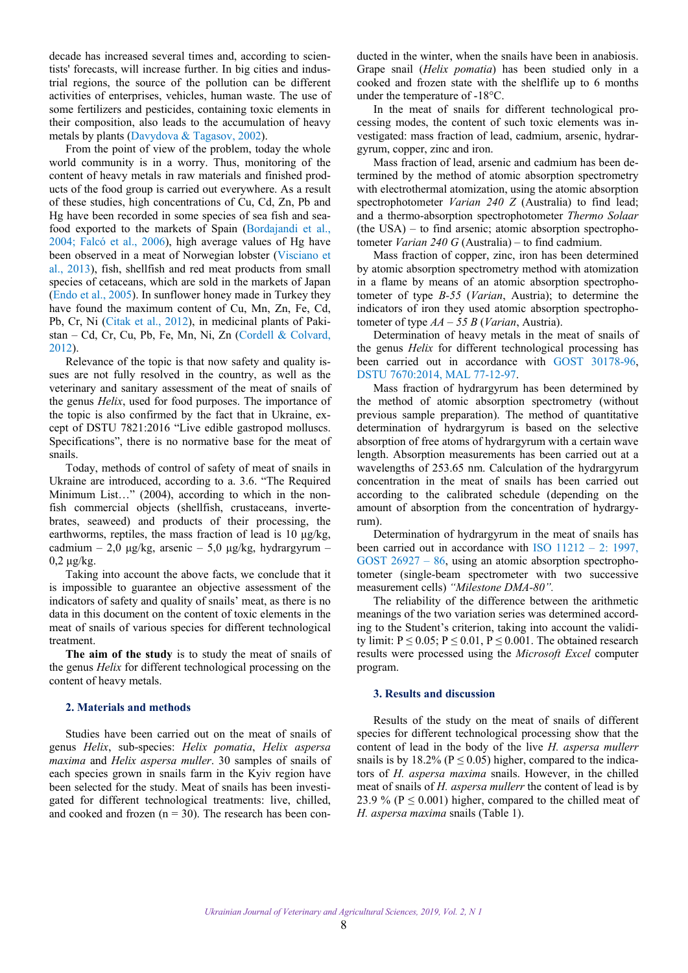<span id="page-1-0"></span>decade has increased several times and, according to scientists' forecasts, will increase further. In big cities and industrial regions, the source of the pollution can be different activities of enterprises, vehicles, human waste. The use of some fertilizers and pesticides, containing toxic elements in their composition, also leads to the accumulation of heavy metals by plants [\(Davydova & Tagasov, 2002](#page-4-0)).

From the point of view of the problem, today the whole world community is in a worry. Thus, monitoring of the content of heavy metals in raw materials and finished products of the food group is carried out everywhere. As a result of these studies, high concentrations of Cu, Cd, Zn, Pb and Hg have been recorded in some species of sea fish and seafood exported to the markets of Spain ([Bordajandi et al.,](#page-4-0) [2004;](#page-4-0) [Falcó et al., 2006\)](#page-4-0), high average values of Hg have been observed in a meat of Norwegian lobster [\(Visciano et](#page-4-0) [al., 2013](#page-4-0)), fish, shellfish and red meat products from small species of cetaceans, which are sold in the markets of Japan ([Endo et al., 2005](#page-4-0)). In sunflower honey made in Turkey they have found the maximum content of Cu, Mn, Zn, Fe, Cd, Pb, Cr, Ni ([Citak et al., 2012\)](#page-4-0), in medicinal plants of Pakistan – Cd, Cr, Cu, Pb, Fe, Mn, Ni, Zn [\(Cordell & Colvard,](#page-4-0) [2012\)](#page-4-0).

Relevance of the topic is that now safety and quality issues are not fully resolved in the country, as well as the veterinary and sanitary assessment of the meat of snails of the genus *Helix*, used for food purposes. The importance of the topic is also confirmed by the fact that in Ukraine, except of DSTU 7821:2016 "Live edible gastropod molluscs. Specifications", there is no normative base for the meat of snails.

Today, methods of control of safety of meat of snails in Ukraine are introduced, according to a. 3.6. "The Required Minimum List…" (2004), according to which in the nonfish commercial objects (shellfish, crustaceans, invertebrates, seaweed) and products of their processing, the earthworms, reptiles, the mass fraction of lead is 10  $\mu$ g/kg, cadmium – 2,0 μg/kg, arsenic – 5,0 μg/kg, hydrargyrum –  $0.2 \mu$ g/kg.

Taking into account the above facts, we conclude that it is impossible to guarantee an objective assessment of the indicators of safety and quality of snails' meat, as there is no data in this document on the content of toxic elements in the meat of snails of various species for different technological treatment.

**The aim of the study** is to study the meat of snails of the genus *Helix* for different technological processing on the content of heavy metals.

#### **2. Materials and methods**

Studies have been carried out on the meat of snails of genus *Helix*, sub-species: *Helix pomatia*, *Helix aspersa maxima* and *Helix aspersa muller*. 30 samples of snails of each species grown in snails farm in the Kyiv region have been selected for the study. Meat of snails has been investigated for different technological treatments: live, chilled, and cooked and frozen  $(n = 30)$ . The research has been con-

ducted in the winter, when the snails have been in anabiosis. Grape snail (*Helix pomatia*) has been studied only in a cooked and frozen state with the shelflife up to 6 months under the temperature of -18°C.

In the meat of snails for different technological processing modes, the content of such toxic elements was investigated: mass fraction of lead, cadmium, arsenic, hydrargyrum, copper, zinc and iron.

Mass fraction of lead, arsenic and cadmium has been determined by the method of atomic absorption spectrometry with electrothermal atomization, using the atomic absorption spectrophotometer *Varian 240 Z* (Australia) to find lead; and a thermo-absorption spectrophotometer *Thermo Solaar* (the USA) – to find arsenic; atomic absorption spectrophotometer *Varian 240 G* (Australia) – to find cadmium.

Mass fraction of copper, zinc, iron has been determined by atomic absorption spectrometry method with atomization in a flame by means of an atomic absorption spectrophotometer of type *В-55* (*Varian*, Austria); to determine the indicators of iron they used atomic absorption spectrophotometer of type *АА – 55 В* (*Varian*, Austria).

Determination of heavy metals in the meat of snails of the genus *Helix* for different technological processing has been carried out in accordance with [GOST 30178-96](#page-4-0), [DSTU 7670:2014](#page-4-0), [MAL 77-12-97.](#page-4-0)

Mass fraction of hydrargyrum has been determined by the method of atomic absorption spectrometry (without previous sample preparation). The method of quantitative determination of hydrargyrum is based on the selective absorption of free atoms of hydrargyrum with a certain wave length. Absorption measurements has been carried out at a wavelengths of 253.65 nm. Calculation of the hydrargyrum concentration in the meat of snails has been carried out according to the calibrated schedule (depending on the amount of absorption from the concentration of hydrargyrum).

Determination of hydrargyrum in the meat of snails has been carried out in accordance with [ISO 11212 – 2: 1997](#page-4-0), GOST  $26927 - 86$ , using an atomic absorption spectrophotometer (single-beam spectrometer with two successive measurement cells) *"Milestone DMA-80".* 

The reliability of the difference between the arithmetic meanings of the two variation series was determined according to the Student's criterion, taking into account the validity limit:  $P \le 0.05$ ;  $P \le 0.01$ ,  $P \le 0.001$ . The obtained research results were processed using the *Microsoft Excel* computer program.

## **3. Results and discussion**

Results of the study on the meat of snails of different species for different technological processing show that the content of lead in the body of the live *Н. aspersa mullerr* snails is by 18.2% ( $P \le 0.05$ ) higher, compared to the indicators of *Н. aspersa maxima* snails. However, in the chilled meat of snails of *Н. aspersa mullerr* the content of lead is by 23.9 % ( $P \le 0.001$ ) higher, compared to the chilled meat of *Н. aspersa maxima* snails (Table 1).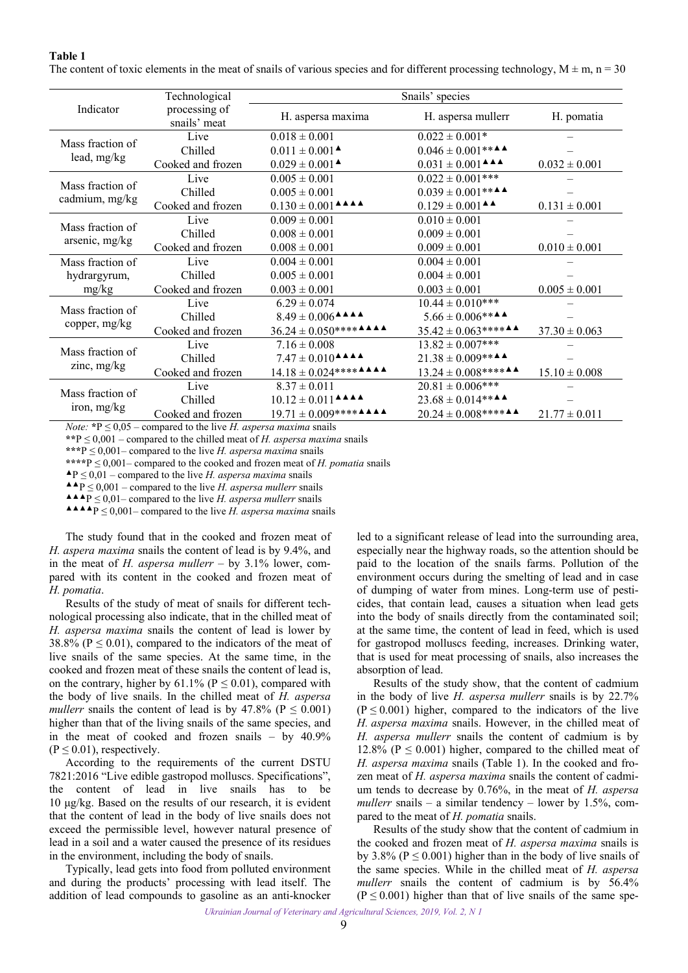**Table 1**  The content of toxic elements in the meat of snails of various species and for different processing technology,  $M \pm m$ ,  $n = 30$ 

|                                    | Technological                 | Snails' species                                                                                                         |                                                                                       |                   |  |
|------------------------------------|-------------------------------|-------------------------------------------------------------------------------------------------------------------------|---------------------------------------------------------------------------------------|-------------------|--|
| Indicator                          | processing of<br>snails' meat | H. aspersa maxima                                                                                                       | H. aspersa mullerr                                                                    | H. pomatia        |  |
| Mass fraction of<br>lead, mg/kg    | Live                          | $0.018 \pm 0.001$                                                                                                       | $0.022 \pm 0.001*$                                                                    |                   |  |
|                                    | Chilled                       | $0.011 \pm 0.001$ <sup><math>\triangle</math></sup>                                                                     | $0.046 \pm 0.001$ ** <b>A</b>                                                         |                   |  |
|                                    | Cooked and frozen             | $0.029 \pm 0.001$ <sup><math>\triangle</math></sup>                                                                     | $0.031 \pm 0.001$ <sup><math>\triangle</math></sup> <sup><math>\triangle</math></sup> | $0.032 \pm 0.001$ |  |
| Mass fraction of<br>cadmium, mg/kg | Live                          | $0.005 \pm 0.001$                                                                                                       | $0.022 \pm 0.001***$                                                                  |                   |  |
|                                    | Chilled                       | $0.005 \pm 0.001$                                                                                                       | $0.039 \pm 0.001$ ** <b>A</b>                                                         |                   |  |
|                                    | Cooked and frozen             | $0.130 \pm 0.001$ $\triangle$ $\triangle$ $\triangle$                                                                   | $0.129 \pm 0.001$ <sup><math>\triangle</math></sup>                                   | $0.131 \pm 0.001$ |  |
| Mass fraction of<br>arsenic, mg/kg | Live                          | $0.009 \pm 0.001$                                                                                                       | $0.010 \pm 0.001$                                                                     |                   |  |
|                                    | Chilled                       | $0.008 \pm 0.001$                                                                                                       | $0.009 \pm 0.001$                                                                     |                   |  |
|                                    | Cooked and frozen             | $0.008 \pm 0.001$                                                                                                       | $0.009 \pm 0.001$                                                                     | $0.010 \pm 0.001$ |  |
| Mass fraction of                   | Live                          | $0.004 \pm 0.001$                                                                                                       | $0.004 \pm 0.001$                                                                     |                   |  |
| hydrargyrum,<br>mg/kg              | Chilled                       | $0.005 \pm 0.001$                                                                                                       | $0.004 \pm 0.001$                                                                     |                   |  |
|                                    | Cooked and frozen             | $0.003 \pm 0.001$                                                                                                       | $0.003 \pm 0.001$                                                                     | $0.005 \pm 0.001$ |  |
| Mass fraction of<br>copper, mg/kg  | Live                          | $6.29 \pm 0.074$                                                                                                        | $10.44 \pm 0.010***$                                                                  |                   |  |
|                                    | Chilled                       | $8.49 \pm 0.006$ <sup><math>\triangle</math></sup> $\triangle$ <sup><math>\triangle</math></sup>                        | $5.66 \pm 0.006$ ** <b>A</b>                                                          |                   |  |
|                                    | Cooked and frozen             | $36.24 \pm 0.050$ *********                                                                                             | $35.42 \pm 0.063$ **** $\triangle$                                                    | $37.30 \pm 0.063$ |  |
| Mass fraction of<br>zinc, mg/kg    | Live                          | $7.16 \pm 0.008$                                                                                                        | $13.82 \pm 0.007$ ***                                                                 |                   |  |
|                                    | Chilled                       | $7.47 \pm 0.010$ <sup><math>\triangle</math></sup> $\triangle$ <sup><math>\triangle</math></sup>                        | $21.38 \pm 0.009$ ** <b>A</b>                                                         |                   |  |
|                                    | Cooked and frozen             | $14.18 \pm 0.024***$ *** $\blacktriangle$ $\blacktriangle$ $\blacktriangle$                                             | $13.24 \pm 0.008$ **** $\blacktriangle$                                               | $15.10 \pm 0.008$ |  |
| Mass fraction of<br>iron, mg/kg    | Live                          | $8.37 \pm 0.011$                                                                                                        | $20.81 \pm 0.006$ ***                                                                 |                   |  |
|                                    | Chilled                       | $10.12 \pm 0.011$ <sup><math>\triangle</math></sup> <sup><math>\triangle</math></sup> <sup><math>\triangle</math></sup> | $23.68 \pm 0.014***$                                                                  |                   |  |
|                                    | Cooked and frozen             | $19.71 \pm 0.009$ *********                                                                                             | $20.24 \pm 0.008$ **** $\triangle$                                                    | $21.77 \pm 0.011$ |  |

*Note:*  $*P \leq 0.05$  – compared to the live *H. aspersa maxima* snails

**\*\***Р ≤ 0,001 ‒ compared to the chilled meat of *Н. aspersa maxima* snails

**\*\*\***Р ≤ 0,001‒ compared to the live *Н. aspersa maxima* snails

**\*\*\*\***Р ≤ 0,001‒ compared to the cooked and frozen meat of *Н. pomatia* snails

**▲**Р ≤ 0,01 ‒ compared to the live *Н. aspersa maxima* snails

**▲▲**Р ≤ 0,001 ‒ compared to the live *Н. aspersa mullerr* snails

**▲▲▲**Р ≤ 0,01‒ compared to the live *Н. aspersa mullerr* snails

**▲▲▲▲**Р ≤ 0,001‒ compared to the live *Н. aspersa maxima* snails

The study found that in the cooked and frozen meat of *H. aspera maxima* snails the content of lead is by 9.4%, and in the meat of *Н. aspersa mullerr* – by 3.1% lower, compared with its content in the cooked and frozen meat of *Н. pomatia*.

Results of the study of meat of snails for different technological processing also indicate, that in the chilled meat of *Н. aspersa maxima* snails the content of lead is lower by 38.8% ( $P \le 0.01$ ), compared to the indicators of the meat of live snails of the same species. At the same time, in the cooked and frozen meat of these snails the content of lead is, on the contrary, higher by 61.1% ( $P \le 0.01$ ), compared with the body of live snails. In the chilled meat of *Н. aspersa mullerr* snails the content of lead is by 47.8% ( $P \le 0.001$ ) higher than that of the living snails of the same species, and in the meat of cooked and frozen snails – by 40.9%  $(P \le 0.01)$ , respectively.

According to the requirements of the current DSTU 7821:2016 "Live edible gastropod molluscs. Specifications", the content of lead in live snails has to be 10 μg/kg. Based on the results of our research, it is evident that the content of lead in the body of live snails does not exceed the permissible level, however natural presence of lead in a soil and a water caused the presence of its residues in the environment, including the body of snails.

Typically, lead gets into food from polluted environment and during the products' processing with lead itself. The addition of lead compounds to gasoline as an anti-knocker

led to a significant release of lead into the surrounding area, especially near the highway roads, so the attention should be paid to the location of the snails farms. Pollution of the environment occurs during the smelting of lead and in case of dumping of water from mines. Long-term use of pesticides, that contain lead, causes a situation when lead gets into the body of snails directly from the contaminated soil; at the same time, the content of lead in feed, which is used for gastropod molluscs feeding, increases. Drinking water, that is used for meat processing of snails, also increases the absorption of lead.

Results of the study show, that the content of cadmium in the body of live *Н. aspersa mullerr* snails is by 22.7%  $(P \le 0.001)$  higher, compared to the indicators of the live *Н. aspersa maxima* snails. However, in the chilled meat of *Н. aspersa mullerr* snails the content of cadmium is by 12.8% ( $P \le 0.001$ ) higher, compared to the chilled meat of *Н. aspersa maxima* snails (Table 1). In the cooked and frozen meat of *Н. aspersa maxima* snails the content of cadmium tends to decrease by 0.76%, in the meat of *Н. aspersa mullerr* snails – a similar tendency – lower by 1.5%, compared to the meat of *Н. pomatia* snails.

Results of the study show that the content of cadmium in the cooked and frozen meat of *Н. aspersa maxima* snails is by 3.8% ( $P \le 0.001$ ) higher than in the body of live snails of the same species. While in the chilled meat of *Н. aspersa mullerr* snails the content of cadmium is by 56.4%  $(P \le 0.001)$  higher than that of live snails of the same spe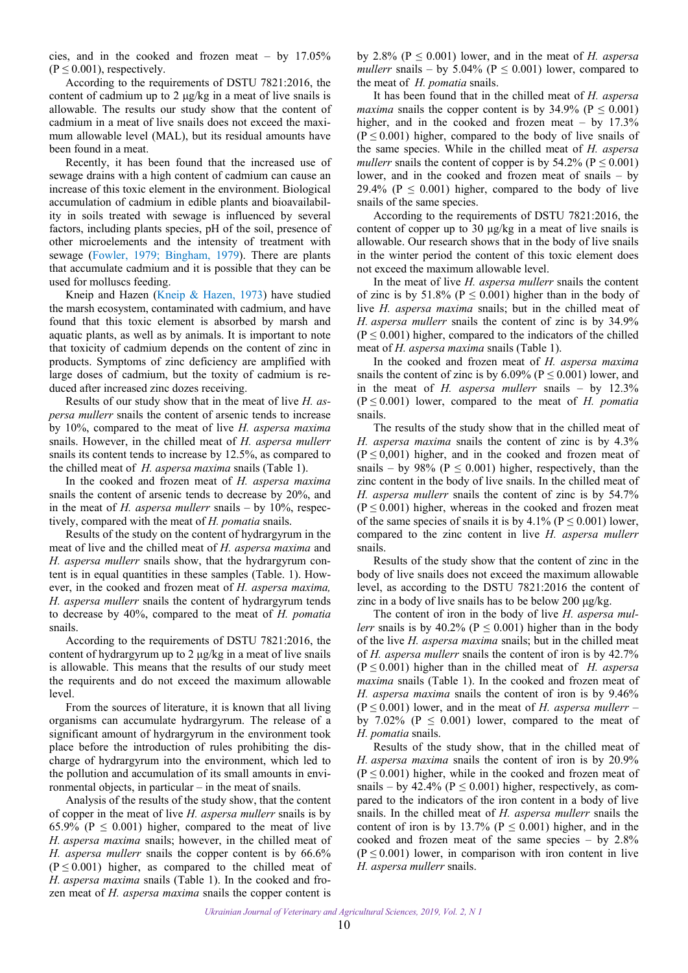cies, and in the cooked and frozen meat – by 17.05%  $(P \le 0.001)$ , respectively.

According to the requirements of DSTU 7821:2016, the content of cadmium up to 2 μg/kg in a meat of live snails is allowable. The results our study show that the content of cadmium in a meat of live snails does not exceed the maximum allowable level (MAL), but its residual amounts have been found in a meat.

Recently, it has been found that the increased use of sewage drains with a high content of cadmium can cause an increase of this toxic element in the environment. Biological accumulation of cadmium in edible plants and bioavailability in soils treated with sewage is influenced by several factors, including plants species, pH of the soil, presence of other microelements and the intensity of treatment with sewage [\(Fowler, 1979;](#page-4-0) [Bingham, 1979\)](#page-4-0). There are plants that accumulate cadmium and it is possible that they can be used for molluscs feeding.

Kneip and Hazen ([Kneip & Hazen, 1973\)](#page-4-0) have studied the marsh ecosystem, contaminated with cadmium, and have found that this toxic element is absorbed by marsh and aquatic plants, as well as by animals. It is important to note that toxicity of cadmium depends on the content of zinc in products. Symptoms of zinc deficiency are amplified with large doses of cadmium, but the toxity of cadmium is reduced after increased zinc dozes receiving.

Results of our study show that in the meat of live *Н. aspersa mullerr* snails the content of arsenic tends to increase by 10%, compared to the meat of live *Н. aspersa maxima* snails. However, in the chilled meat of *Н. aspersa mullerr* snails its content tends to increase by 12.5%, as compared to the chilled meat of *Н. aspersa maxima* snails (Table 1).

In the cooked and frozen meat of *Н. aspersa maxima* snails the content of arsenic tends to decrease by 20%, and in the meat of *Н. aspersa mullerr* snails – by 10%, respectively, compared with the meat of *Н. pomatia* snails.

Results of the study on the content of hydrargyrum in the meat of live and the chilled meat of *Н. aspersa maxima* and *Н. aspersa mullerr* snails show, that the hydrargyrum content is in equal quantities in these samples (Table. 1). However, in the cooked and frozen meat of *Н. aspersa maxima, Н. aspersa mullerr* snails the content of hydrargyrum tends to decrease by 40%, compared to the meat of *Н. pomatia* snails.

According to the requirements of DSTU 7821:2016, the content of hydrargyrum up to 2 μg/kg in a meat of live snails is allowable. This means that the results of our study meet the requirents and do not exceed the maximum allowable level.

From the sources of literature, it is known that all living organisms can accumulate hydrargyrum. The release of a significant amount of hydrargyrum in the environment took place before the introduction of rules prohibiting the discharge of hydrargyrum into the environment, which led to the pollution and accumulation of its small amounts in environmental objects, in particular – in the meat of snails.

Analysis of the results of the study show, that the content of copper in the meat of live *Н. aspersa mullerr* snails is by 65.9% ( $P \le 0.001$ ) higher, compared to the meat of live *Н. aspersa maxima* snails; however, in the chilled meat of *H. aspersa mullerr* snails the copper content is by 66.6%  $(P \le 0.001)$  higher, as compared to the chilled meat of *Н. aspersa maxima* snails (Table 1). In the cooked and frozen meat of *Н. aspersa maxima* snails the copper content is

by 2.8% ( $P \le 0.001$ ) lower, and in the meat of *H. aspersa mullerr* snails – by 5.04% ( $P \le 0.001$ ) lower, compared to the meat of *Н. pomatia* snails.

It has been found that in the chilled meat of *Н. aspersa maxima* snails the copper content is by 34.9% ( $P \le 0.001$ ) higher, and in the cooked and frozen meat – by 17.3%  $(P \le 0.001)$  higher, compared to the body of live snails of the same species. While in the chilled meat of *Н. aspersa mullerr* snails the content of copper is by 54.2% ( $P \le 0.001$ ) lower, and in the cooked and frozen meat of snails – by 29.4% ( $P \le 0.001$ ) higher, compared to the body of live snails of the same species.

According to the requirements of DSTU 7821:2016, the content of copper up to 30 μg/kg in a meat of live snails is allowable. Our research shows that in the body of live snails in the winter period the content of this toxic element does not exceed the maximum allowable level.

In the meat of live *Н. aspersa mullerr* snails the content of zinc is by 51.8% ( $P \le 0.001$ ) higher than in the body of live *Н. aspersa maxima* snails; but in the chilled meat of *Н. aspersa mullerr* snails the content of zinc is by 34.9%  $(P \le 0.001)$  higher, compared to the indicators of the chilled meat of *Н. aspersa maxima* snails (Table 1).

In the cooked and frozen meat of *Н. aspersa maxima* snails the content of zinc is by  $6.09\%$  ( $P \le 0.001$ ) lower, and in the meat of *Н. aspersa mullerr* snails – by 12.3% (Р ≤ 0.001) lower, compared to the meat of *Н. pomatia* snails.

The results of the study show that in the chilled meat of *Н. aspersa maxima* snails the content of zinc is by 4.3%  $(P \le 0.001)$  higher, and in the cooked and frozen meat of snails – by 98% ( $P \le 0.001$ ) higher, respectively, than the zinc content in the body of live snails. In the chilled meat of *H. aspersa mullerr* snails the content of zinc is by 54.7%  $(P \le 0.001)$  higher, whereas in the cooked and frozen meat of the same species of snails it is by  $4.1\%$  ( $P \le 0.001$ ) lower, compared to the zinc content in live *Н. aspersa mullerr* snails.

Results of the study show that the content of zinc in the body of live snails does not exceed the maximum allowable level, as according to the DSTU 7821:2016 the content of zinc in a body of live snails has to be below 200 μg/kg.

The content of iron in the body of live *Н. aspersa mullerr* snails is by 40.2% ( $P \le 0.001$ ) higher than in the body of the live *Н. aspersa maxima* snails; but in the chilled meat of *Н. aspersa mullerr* snails the content of iron is by 42.7%  $(P \le 0.001)$  higher than in the chilled meat of *H. aspersa maxima* snails (Table 1). In the cooked and frozen meat of *H. aspersa maxima* snails the content of iron is by 9.46%  $(P \le 0.001)$  lower, and in the meat of *H. aspersa mullerr* – by 7.02% ( $P \le 0.001$ ) lower, compared to the meat of *Н. pomatia* snails.

Results of the study show, that in the chilled meat of *Н. aspersa maxima* snails the content of iron is by 20.9%  $(P \le 0.001)$  higher, while in the cooked and frozen meat of snails – by 42.4% ( $P \le 0.001$ ) higher, respectively, as compared to the indicators of the iron content in a body of live snails. In the chilled meat of *Н. aspersa mullerr* snails the content of iron is by 13.7% ( $P \le 0.001$ ) higher, and in the cooked and frozen meat of the same species – by 2.8%  $(P \le 0.001)$  lower, in comparison with iron content in live *Н. aspersa mullerr* snails.